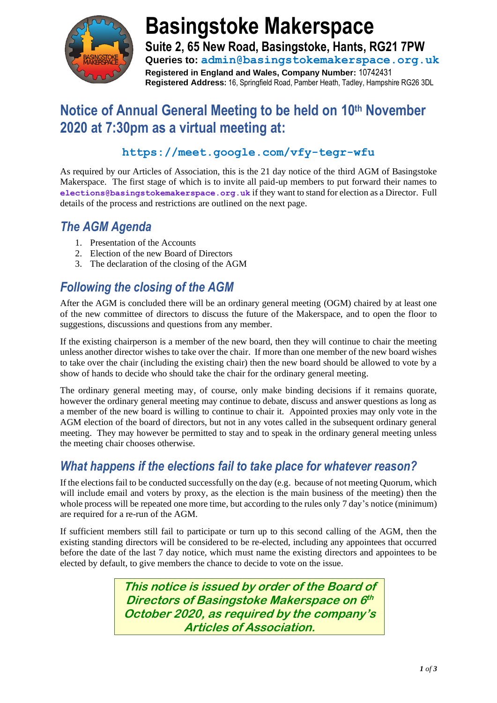

# **Basingstoke Makerspace**

**Suite 2, 65 New Road, Basingstoke, Hants, RG21 7PW Queries to: admin@basingstokemakerspace.org.uk Registered in England and Wales, Company Number:** 10742431 **Registered Address:** 16, Springfield Road, Pamber Heath, Tadley, Hampshire RG26 3DL

### **Notice of Annual General Meeting to be held on 10th November 2020 at 7:30pm as a virtual meeting at:**

#### **https://meet.google.com/vfy-tegr-wfu**

As required by our Articles of Association, this is the 21 day notice of the third AGM of Basingstoke Makerspace. The first stage of which is to invite all paid-up members to put forward their names to **elections@basingstokemakerspace.org.uk** if they want to stand for election as a Director. Full details of the process and restrictions are outlined on the next page.

### *The AGM Agenda*

- 1. Presentation of the Accounts
- 2. Election of the new Board of Directors
- 3. The declaration of the closing of the AGM

### *Following the closing of the AGM*

After the AGM is concluded there will be an ordinary general meeting (OGM) chaired by at least one of the new committee of directors to discuss the future of the Makerspace, and to open the floor to suggestions, discussions and questions from any member.

If the existing chairperson is a member of the new board, then they will continue to chair the meeting unless another director wishes to take over the chair. If more than one member of the new board wishes to take over the chair (including the existing chair) then the new board should be allowed to vote by a show of hands to decide who should take the chair for the ordinary general meeting.

The ordinary general meeting may, of course, only make binding decisions if it remains quorate, however the ordinary general meeting may continue to debate, discuss and answer questions as long as a member of the new board is willing to continue to chair it. Appointed proxies may only vote in the AGM election of the board of directors, but not in any votes called in the subsequent ordinary general meeting. They may however be permitted to stay and to speak in the ordinary general meeting unless the meeting chair chooses otherwise.

### *What happens if the elections fail to take place for whatever reason?*

If the elections fail to be conducted successfully on the day (e.g. because of not meeting Quorum, which will include email and voters by proxy, as the election is the main business of the meeting) then the whole process will be repeated one more time, but according to the rules only 7 day's notice (minimum) are required for a re-run of the AGM.

If sufficient members still fail to participate or turn up to this second calling of the AGM, then the existing standing directors will be considered to be re-elected, including any appointees that occurred before the date of the last 7 day notice, which must name the existing directors and appointees to be elected by default, to give members the chance to decide to vote on the issue.

> **This notice is issued by order of the Board of Directors of Basingstoke Makerspace on 6 th October 2020, as required by the company's Articles of Association.**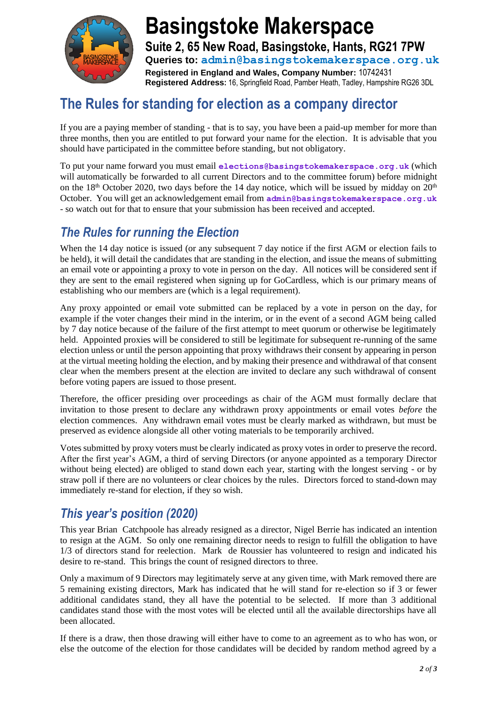

## **Basingstoke Makerspace Suite 2, 65 New Road, Basingstoke, Hants, RG21 7PW Queries to: admin@basingstokemakerspace.org.uk**

**Registered in England and Wales, Company Number:** 10742431 **Registered Address:** 16, Springfield Road, Pamber Heath, Tadley, Hampshire RG26 3DL

### **The Rules for standing for election as a company director**

If you are a paying member of standing - that is to say, you have been a paid-up member for more than three months, then you are entitled to put forward your name for the election. It is advisable that you should have participated in the committee before standing, but not obligatory.

To put your name forward you must email **elections@basingstokemakerspace.org.uk** (which will automatically be forwarded to all current Directors and to the committee forum) before midnight on the 18<sup>th</sup> October 2020, two days before the 14 day notice, which will be issued by midday on  $20<sup>th</sup>$ October. You will get an acknowledgement email from **admin@basingstokemakerspace.org.uk** - so watch out for that to ensure that your submission has been received and accepted.

### *The Rules for running the Election*

When the 14 day notice is issued (or any subsequent 7 day notice if the first AGM or election fails to be held), it will detail the candidates that are standing in the election, and issue the means of submitting an email vote or appointing a proxy to vote in person on the day. All notices will be considered sent if they are sent to the email registered when signing up for GoCardless, which is our primary means of establishing who our members are (which is a legal requirement).

Any proxy appointed or email vote submitted can be replaced by a vote in person on the day, for example if the voter changes their mind in the interim, or in the event of a second AGM being called by 7 day notice because of the failure of the first attempt to meet quorum or otherwise be legitimately held. Appointed proxies will be considered to still be legitimate for subsequent re-running of the same election unless or until the person appointing that proxy withdraws their consent by appearing in person at the virtual meeting holding the election, and by making their presence and withdrawal of that consent clear when the members present at the election are invited to declare any such withdrawal of consent before voting papers are issued to those present.

Therefore, the officer presiding over proceedings as chair of the AGM must formally declare that invitation to those present to declare any withdrawn proxy appointments or email votes *before* the election commences. Any withdrawn email votes must be clearly marked as withdrawn, but must be preserved as evidence alongside all other voting materials to be temporarily archived.

Votes submitted by proxy voters must be clearly indicated as proxy votes in order to preserve the record. After the first year's AGM, a third of serving Directors (or anyone appointed as a temporary Director without being elected) are obliged to stand down each year, starting with the longest serving - or by straw poll if there are no volunteers or clear choices by the rules. Directors forced to stand-down may immediately re-stand for election, if they so wish.

### *This year's position (2020)*

This year Brian Catchpoole has already resigned as a director, Nigel Berrie has indicated an intention to resign at the AGM. So only one remaining director needs to resign to fulfill the obligation to have 1/3 of directors stand for reelection. Mark de Roussier has volunteered to resign and indicated his desire to re-stand. This brings the count of resigned directors to three.

Only a maximum of 9 Directors may legitimately serve at any given time, with Mark removed there are 5 remaining existing directors, Mark has indicated that he will stand for re-election so if 3 or fewer additional candidates stand, they all have the potential to be selected. If more than 3 additional candidates stand those with the most votes will be elected until all the available directorships have all been allocated.

If there is a draw, then those drawing will either have to come to an agreement as to who has won, or else the outcome of the election for those candidates will be decided by random method agreed by a